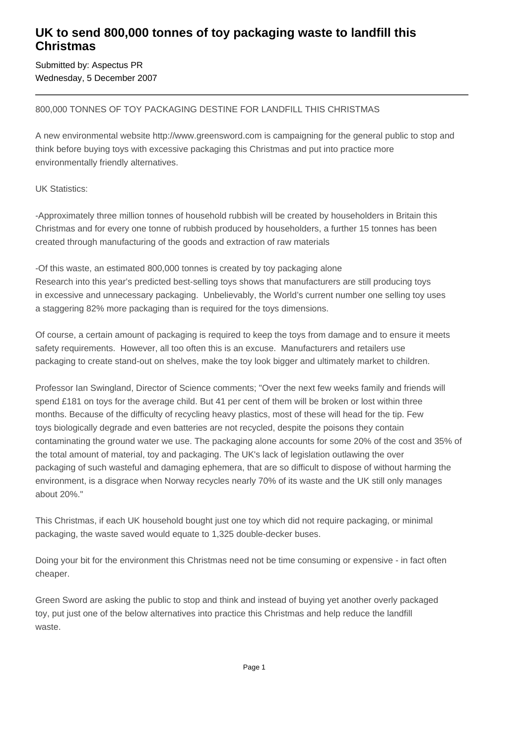## **UK to send 800,000 tonnes of toy packaging waste to landfill this Christmas**

Submitted by: Aspectus PR Wednesday, 5 December 2007

### 800,000 TONNES OF TOY PACKAGING DESTINE FOR LANDFILL THIS CHRISTMAS

A new environmental website http://www.greensword.com is campaigning for the general public to stop and think before buying toys with excessive packaging this Christmas and put into practice more environmentally friendly alternatives.

UK Statistics:

- Approximately three million tonnes of household rubbish will be created by householders in Britain this Christmas and for every one tonne of rubbish produced by householders, a further 15 tonnes has been created through manufacturing of the goods and extraction of raw materials

- Of this waste, an estimated 800,000 tonnes is created by toy packaging alone Research into this year's predicted best-selling toys shows that manufacturers are still producing toys in excessive and unnecessary packaging. Unbelievably, the World's current number one selling toy uses a staggering 82% more packaging than is required for the toys dimensions.

Of course, a certain amount of packaging is required to keep the toys from damage and to ensure it meets safety requirements. However, all too often this is an excuse. Manufacturers and retailers use packaging to create stand-out on shelves, make the toy look bigger and ultimately market to children.

Professor Ian Swingland, Director of Science comments; "Over the next few weeks family and friends will spend £181 on toys for the average child. But 41 per cent of them will be broken or lost within three months. Because of the difficulty of recycling heavy plastics, most of these will head for the tip. Few toys biologically degrade and even batteries are not recycled, despite the poisons they contain contaminating the ground water we use. The packaging alone accounts for some 20% of the cost and 35% of the total amount of material, toy and packaging. The UK's lack of legislation outlawing the over packaging of such wasteful and damaging ephemera, that are so difficult to dispose of without harming the environment, is a disgrace when Norway recycles nearly 70% of its waste and the UK still only manages about 20%."

This Christmas, if each UK household bought just one toy which did not require packaging, or minimal packaging, the waste saved would equate to 1,325 double-decker buses.

Doing your bit for the environment this Christmas need not be time consuming or expensive - in fact often cheaper.

Green Sword are asking the public to stop and think and instead of buying yet another overly packaged toy, put just one of the below alternatives into practice this Christmas and help reduce the landfill waste.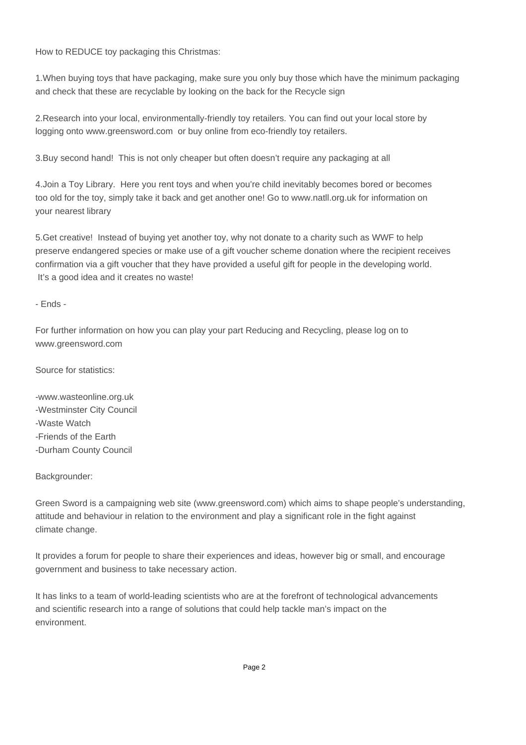How to REDUCE toy packaging this Christmas:

1. When buying toys that have packaging, make sure you only buy those which have the minimum packaging and check that these are recyclable by looking on the back for the Recycle sign

2. Research into your local, environmentally-friendly toy retailers. You can find out your local store by logging onto www.greensword.com or buy online from eco-friendly toy retailers.

3. Buy second hand! This is not only cheaper but often doesn't require any packaging at all

4. Join a Toy Library. Here you rent toys and when you're child inevitably becomes bored or becomes too old for the toy, simply take it back and get another one! Go to www.natll.org.uk for information on your nearest library

5. Get creative! Instead of buying yet another toy, why not donate to a charity such as WWF to help preserve endangered species or make use of a gift voucher scheme donation where the recipient receives confirmation via a gift voucher that they have provided a useful gift for people in the developing world. It's a good idea and it creates no waste!

#### - Ends -

For further information on how you can play your part Reducing and Recycling, please log on to www.greensword.com

Source for statistics:

- www.wasteonline.org.uk
- Westminster City Council
- - Waste Watch
- Friends of the Earth
- Durham County Council

#### Backgrounder:

Green Sword is a campaigning web site (www.greensword.com) which aims to shape people's understanding, attitude and behaviour in relation to the environment and play a significant role in the fight against climate change.

It provides a forum for people to share their experiences and ideas, however big or small, and encourage government and business to take necessary action.

It has links to a team of world-leading scientists who are at the forefront of technological advancements and scientific research into a range of solutions that could help tackle man's impact on the environment.